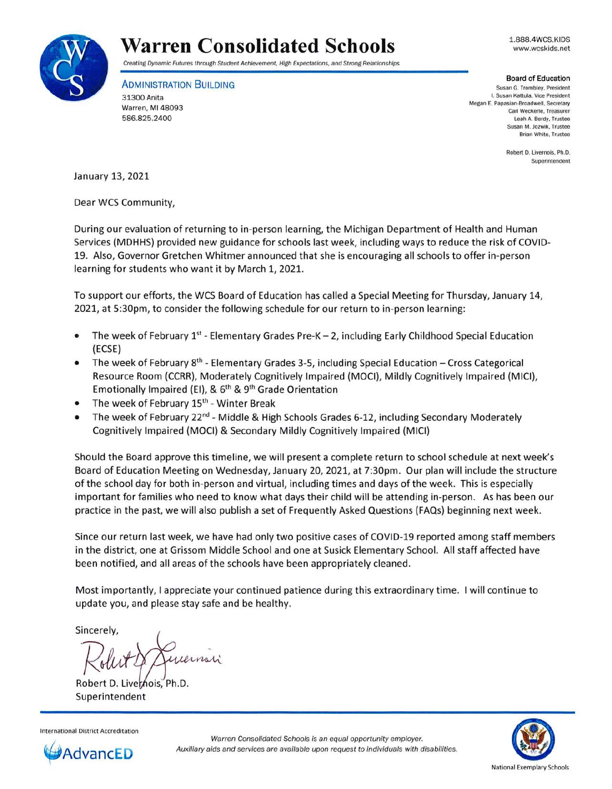

## **Warren Consolidated Schools**

Creating Dynamic Futures through Student Achievement, High Expectations, and Strong Relationships

**ADMINISTRATION BUILDING** 31300 Anita Warren, Ml 48093 586.825.2400

1.888.4WCS.KIDS www.wcskids.net

## Board of Education

Susan G. Trombley. President I. Susan Kattula , Vice President Megan E. Papasian-Broadwell. Secretary Carl Weckerle, Treasurer Leah A. Berdy, Trustee Susan M. Jozwik, Trustee Brian White. Trustee

> Robert D. Livernois. Ph.D. Superintendent

January 13, 2021

Dear WCS Community,

During our evaluation of returning to in-person learning, the Michigan Department of Health and Human Services (MDHHS) provided new guidance for schools last week, including ways to reduce the risk of COVID-19. Also, Governor Gretchen Whitmer announced that she is encouraging all schools to offer in-person learning for students who want it by March 1, 2021.

To support our efforts, the WCS Board of Education has called a Special Meeting for Thursday, January 14, 2021, at 5:30pm, to consider the following schedule for our return to in-person learning:

- The week of February 1<sup>st</sup> Elementary Grades Pre-K 2, including Early Childhood Special Education (ECSE)
- The week of February 8<sup>th</sup> Elementary Grades 3-5, including Special Education Cross Categorical Resource Room (CCRR), Moderately Cognitively Impaired (MOCI), Mildly Cognitively Impaired (MICI), Emotionally Impaired (EI), &  $6<sup>th</sup>$  & 9<sup>th</sup> Grade Orientation
- The week of February 15<sup>th</sup> Winter Break
- The week of February  $22^{nd}$  Middle & High Schools Grades 6-12, including Secondary Moderately Cognitively Impaired (MOCI) & Secondary Mildly Cognitively Impaired (MICI)

Should the Board approve this timeline, we will present a complete return to school schedule at next week's Board of Education Meeting on Wednesday, January 20, 2021, at 7:30pm. Our plan will include the structure of the school day for both in-person and virtual, including times and days of the week. This is especially important for families who need to know what days their child will be attending in-person. As has been our practice in the past, we will also publish a set of Frequently Asked Questions (FAQs) beginning next week.

Since our return last week, we have had only two positive cases of COVID-19 reported among staff members in the district, one at Grissom Middle School and one at Susick Elementary School. All staff affected have been notified, and all areas of the schools have been appropriately cleaned.

Most importantly, I appreciate your continued patience during this extraordinary time. I will continue to update you, and please stay safe and be healthy.

Sincerely,

Sincerely,<br>Rollet Muleinain<br>Robert D. Livernois, Ph.D.<br>Superintendent

Superintendent





Warren Consolidated Schools is an equal opportunity employer. Auxiliary aids and services are available upon request to individuals with disabilities .